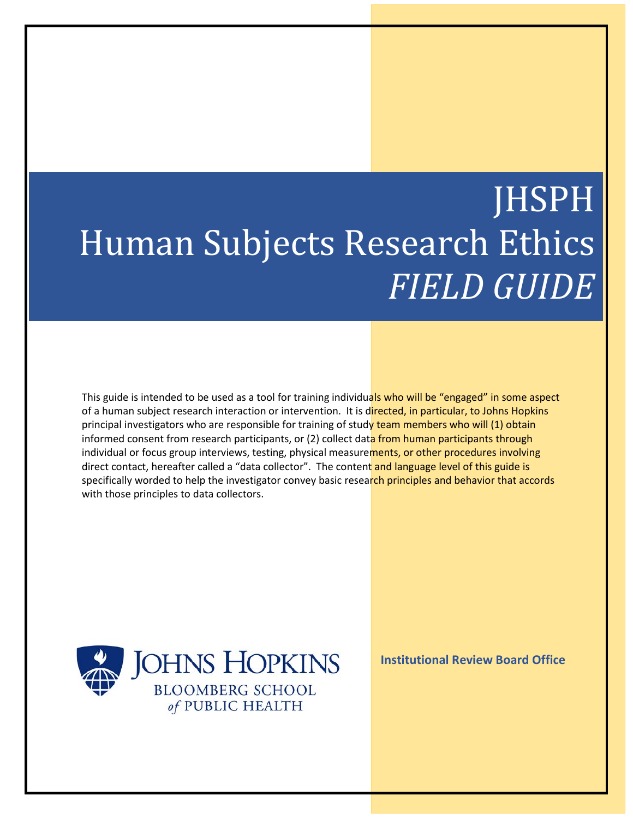# JHSPH Human Subjects Research Ethics *FIELD GUIDE*

This guide is intended to be used as a tool for training individuals who will be "engaged" in some aspect of a human subject research interaction or intervention. It is directed, in particular, to Johns Hopkins principal investigators who are responsible for training of study team members who will (1) obtain informed consent from research participants, or (2) collect data from human participants through individual or focus group interviews, testing, physical measurements, or other procedures involving direct contact, hereafter called a "data collector". The content and language level of this guide is specifically worded to help the investigator convey basic research principles and behavior that accords with those principles to data collectors.

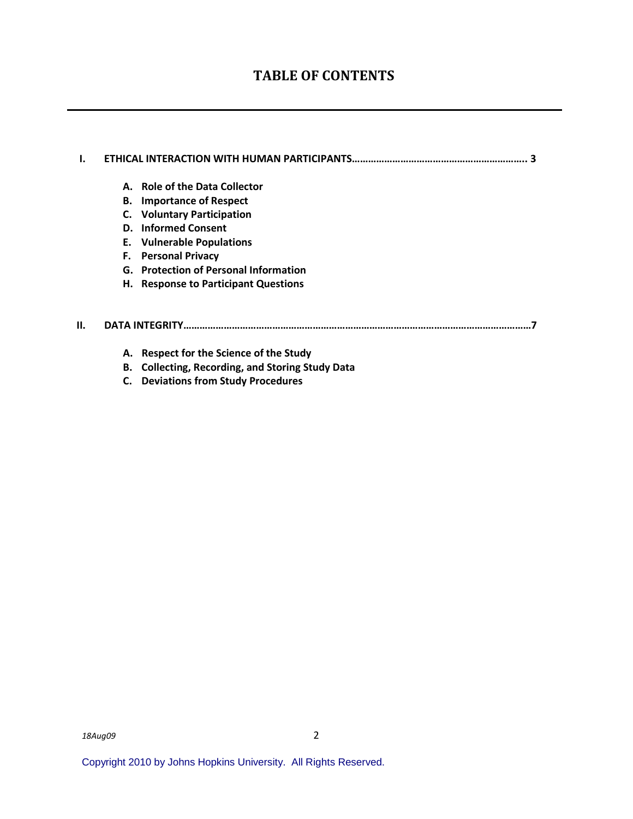### **TABLE OF CONTENTS**

## **I. ETHICAL INTERACTION WITH HUMAN PARTICIPANTS……………………………………………………….. 3 A. Role of the Data Collector B. Importance of Respect C. Voluntary Participation D. Informed Consent E. Vulnerable Populations F. Personal Privacy G. Protection of Personal Information H. Response to Participant Questions II. DATA INTEGRITY…………………………………………………………………………………………………………………7**

- **A. Respect for the Science of the Study**
- **B. Collecting, Recording, and Storing Study Data**
- **C. Deviations from Study Procedures**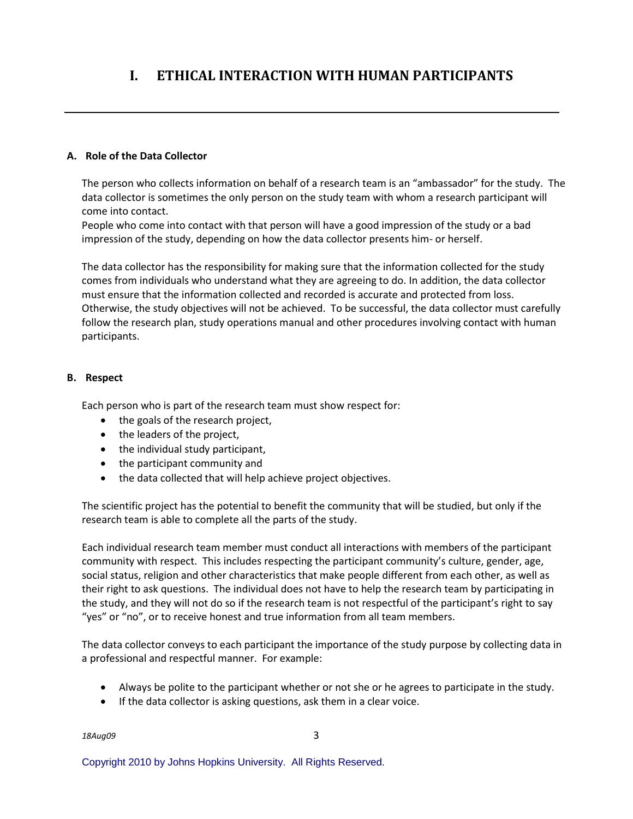## **I. ETHICAL INTERACTION WITH HUMAN PARTICIPANTS**

#### **A. Role of the Data Collector**

The person who collects information on behalf of a research team is an "ambassador" for the study. The data collector is sometimes the only person on the study team with whom a research participant will come into contact.

People who come into contact with that person will have a good impression of the study or a bad impression of the study, depending on how the data collector presents him- or herself.

The data collector has the responsibility for making sure that the information collected for the study comes from individuals who understand what they are agreeing to do. In addition, the data collector must ensure that the information collected and recorded is accurate and protected from loss. Otherwise, the study objectives will not be achieved. To be successful, the data collector must carefully follow the research plan, study operations manual and other procedures involving contact with human participants.

#### **B. Respect**

Each person who is part of the research team must show respect for:

- the goals of the research project,
- the leaders of the project,
- the individual study participant,
- the participant community and
- the data collected that will help achieve project objectives.

The scientific project has the potential to benefit the community that will be studied, but only if the research team is able to complete all the parts of the study.

Each individual research team member must conduct all interactions with members of the participant community with respect. This includes respecting the participant community's culture, gender, age, social status, religion and other characteristics that make people different from each other, as well as their right to ask questions. The individual does not have to help the research team by participating in the study, and they will not do so if the research team is not respectful of the participant's right to say "yes" or "no", or to receive honest and true information from all team members.

The data collector conveys to each participant the importance of the study purpose by collecting data in a professional and respectful manner. For example:

- Always be polite to the participant whether or not she or he agrees to participate in the study.
- If the data collector is asking questions, ask them in a clear voice.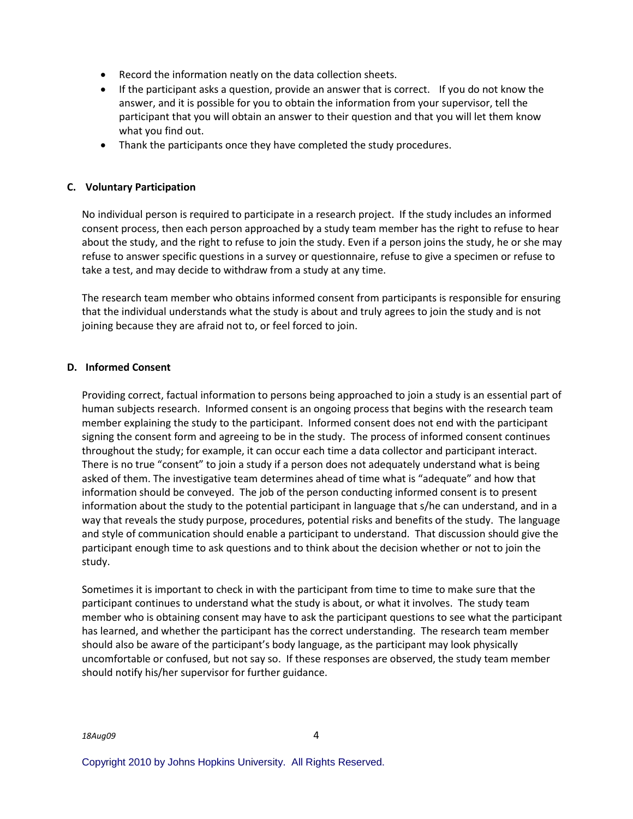- Record the information neatly on the data collection sheets.
- If the participant asks a question, provide an answer that is correct. If you do not know the answer, and it is possible for you to obtain the information from your supervisor, tell the participant that you will obtain an answer to their question and that you will let them know what you find out.
- Thank the participants once they have completed the study procedures.

#### **C. Voluntary Participation**

No individual person is required to participate in a research project. If the study includes an informed consent process, then each person approached by a study team member has the right to refuse to hear about the study, and the right to refuse to join the study. Even if a person joins the study, he or she may refuse to answer specific questions in a survey or questionnaire, refuse to give a specimen or refuse to take a test, and may decide to withdraw from a study at any time.

The research team member who obtains informed consent from participants is responsible for ensuring that the individual understands what the study is about and truly agrees to join the study and is not joining because they are afraid not to, or feel forced to join.

#### **D. Informed Consent**

Providing correct, factual information to persons being approached to join a study is an essential part of human subjects research. Informed consent is an ongoing process that begins with the research team member explaining the study to the participant. Informed consent does not end with the participant signing the consent form and agreeing to be in the study. The process of informed consent continues throughout the study; for example, it can occur each time a data collector and participant interact. There is no true "consent" to join a study if a person does not adequately understand what is being asked of them. The investigative team determines ahead of time what is "adequate" and how that information should be conveyed. The job of the person conducting informed consent is to present information about the study to the potential participant in language that s/he can understand, and in a way that reveals the study purpose, procedures, potential risks and benefits of the study. The language and style of communication should enable a participant to understand. That discussion should give the participant enough time to ask questions and to think about the decision whether or not to join the study.

Sometimes it is important to check in with the participant from time to time to make sure that the participant continues to understand what the study is about, or what it involves. The study team member who is obtaining consent may have to ask the participant questions to see what the participant has learned, and whether the participant has the correct understanding. The research team member should also be aware of the participant's body language, as the participant may look physically uncomfortable or confused, but not say so. If these responses are observed, the study team member should notify his/her supervisor for further guidance.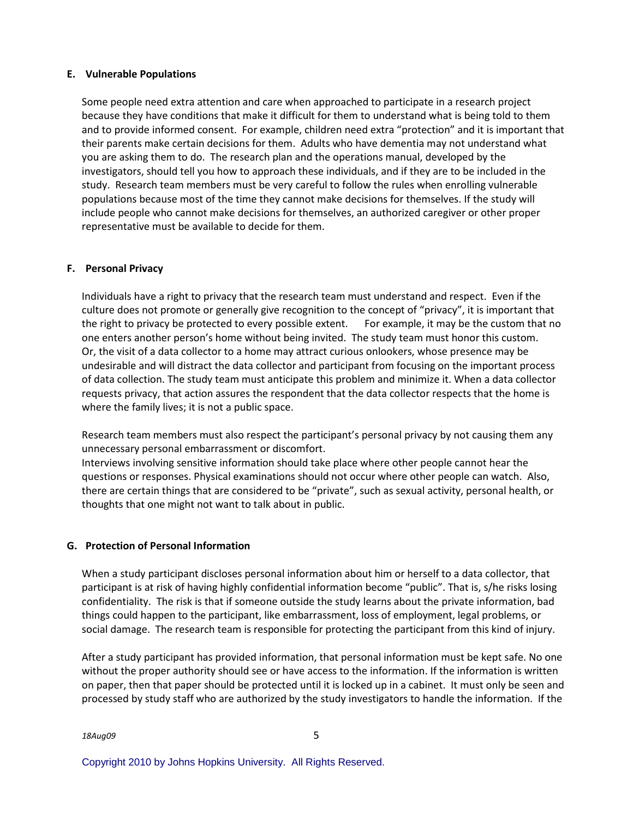#### **E. Vulnerable Populations**

Some people need extra attention and care when approached to participate in a research project because they have conditions that make it difficult for them to understand what is being told to them and to provide informed consent. For example, children need extra "protection" and it is important that their parents make certain decisions for them. Adults who have dementia may not understand what you are asking them to do. The research plan and the operations manual, developed by the investigators, should tell you how to approach these individuals, and if they are to be included in the study. Research team members must be very careful to follow the rules when enrolling vulnerable populations because most of the time they cannot make decisions for themselves. If the study will include people who cannot make decisions for themselves, an authorized caregiver or other proper representative must be available to decide for them.

#### **F. Personal Privacy**

Individuals have a right to privacy that the research team must understand and respect. Even if the culture does not promote or generally give recognition to the concept of "privacy", it is important that the right to privacy be protected to every possible extent. For example, it may be the custom that no one enters another person's home without being invited. The study team must honor this custom. Or, the visit of a data collector to a home may attract curious onlookers, whose presence may be undesirable and will distract the data collector and participant from focusing on the important process of data collection. The study team must anticipate this problem and minimize it. When a data collector requests privacy, that action assures the respondent that the data collector respects that the home is where the family lives; it is not a public space.

Research team members must also respect the participant's personal privacy by not causing them any unnecessary personal embarrassment or discomfort.

Interviews involving sensitive information should take place where other people cannot hear the questions or responses. Physical examinations should not occur where other people can watch. Also, there are certain things that are considered to be "private", such as sexual activity, personal health, or thoughts that one might not want to talk about in public.

#### **G. Protection of Personal Information**

When a study participant discloses personal information about him or herself to a data collector, that participant is at risk of having highly confidential information become "public". That is, s/he risks losing confidentiality. The risk is that if someone outside the study learns about the private information, bad things could happen to the participant, like embarrassment, loss of employment, legal problems, or social damage. The research team is responsible for protecting the participant from this kind of injury.

After a study participant has provided information, that personal information must be kept safe. No one without the proper authority should see or have access to the information. If the information is written on paper, then that paper should be protected until it is locked up in a cabinet. It must only be seen and processed by study staff who are authorized by the study investigators to handle the information. If the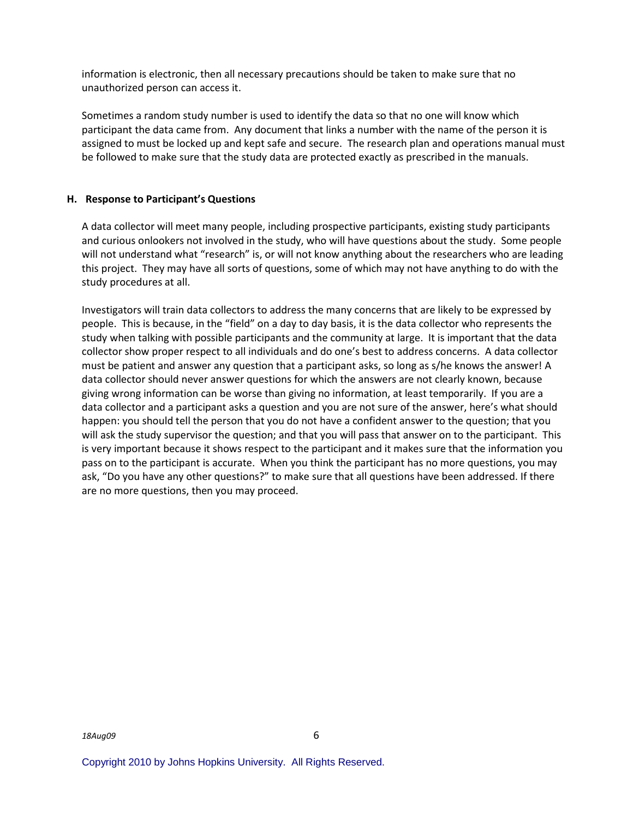information is electronic, then all necessary precautions should be taken to make sure that no unauthorized person can access it.

Sometimes a random study number is used to identify the data so that no one will know which participant the data came from. Any document that links a number with the name of the person it is assigned to must be locked up and kept safe and secure. The research plan and operations manual must be followed to make sure that the study data are protected exactly as prescribed in the manuals.

#### **H. Response to Participant's Questions**

A data collector will meet many people, including prospective participants, existing study participants and curious onlookers not involved in the study, who will have questions about the study. Some people will not understand what "research" is, or will not know anything about the researchers who are leading this project. They may have all sorts of questions, some of which may not have anything to do with the study procedures at all.

Investigators will train data collectors to address the many concerns that are likely to be expressed by people. This is because, in the "field" on a day to day basis, it is the data collector who represents the study when talking with possible participants and the community at large. It is important that the data collector show proper respect to all individuals and do one's best to address concerns. A data collector must be patient and answer any question that a participant asks, so long as s/he knows the answer! A data collector should never answer questions for which the answers are not clearly known, because giving wrong information can be worse than giving no information, at least temporarily. If you are a data collector and a participant asks a question and you are not sure of the answer, here's what should happen: you should tell the person that you do not have a confident answer to the question; that you will ask the study supervisor the question; and that you will pass that answer on to the participant. This is very important because it shows respect to the participant and it makes sure that the information you pass on to the participant is accurate. When you think the participant has no more questions, you may ask, "Do you have any other questions?" to make sure that all questions have been addressed. If there are no more questions, then you may proceed.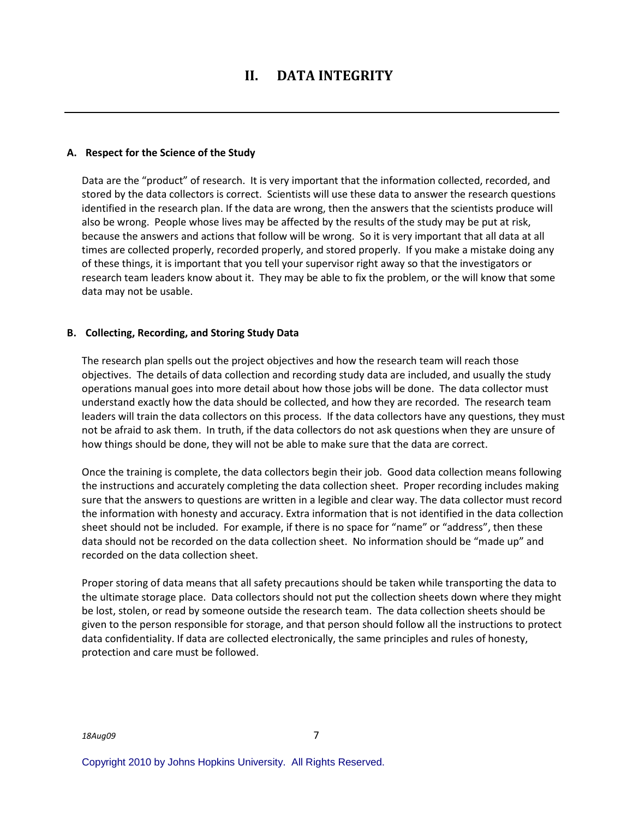#### **A. Respect for the Science of the Study**

Data are the "product" of research. It is very important that the information collected, recorded, and stored by the data collectors is correct. Scientists will use these data to answer the research questions identified in the research plan. If the data are wrong, then the answers that the scientists produce will also be wrong. People whose lives may be affected by the results of the study may be put at risk, because the answers and actions that follow will be wrong. So it is very important that all data at all times are collected properly, recorded properly, and stored properly. If you make a mistake doing any of these things, it is important that you tell your supervisor right away so that the investigators or research team leaders know about it. They may be able to fix the problem, or the will know that some data may not be usable.

#### **B. Collecting, Recording, and Storing Study Data**

The research plan spells out the project objectives and how the research team will reach those objectives. The details of data collection and recording study data are included, and usually the study operations manual goes into more detail about how those jobs will be done. The data collector must understand exactly how the data should be collected, and how they are recorded. The research team leaders will train the data collectors on this process. If the data collectors have any questions, they must not be afraid to ask them. In truth, if the data collectors do not ask questions when they are unsure of how things should be done, they will not be able to make sure that the data are correct.

Once the training is complete, the data collectors begin their job. Good data collection means following the instructions and accurately completing the data collection sheet. Proper recording includes making sure that the answers to questions are written in a legible and clear way. The data collector must record the information with honesty and accuracy. Extra information that is not identified in the data collection sheet should not be included. For example, if there is no space for "name" or "address", then these data should not be recorded on the data collection sheet. No information should be "made up" and recorded on the data collection sheet.

Proper storing of data means that all safety precautions should be taken while transporting the data to the ultimate storage place. Data collectors should not put the collection sheets down where they might be lost, stolen, or read by someone outside the research team. The data collection sheets should be given to the person responsible for storage, and that person should follow all the instructions to protect data confidentiality. If data are collected electronically, the same principles and rules of honesty, protection and care must be followed.